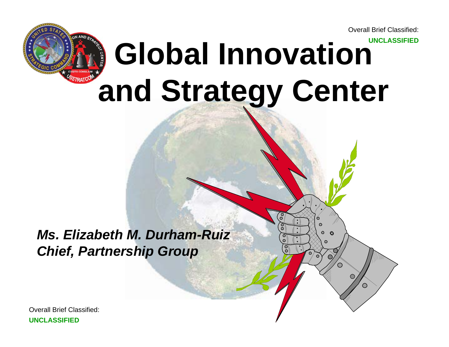# Overall Brief Classified:**UNCLASSIFIED Global Innovation and Strategy Center**

*Ms. Elizabeth M. Durham-RuizChief, Partnership Group*

Overall Brief Classified:**UNCLASSIFIED**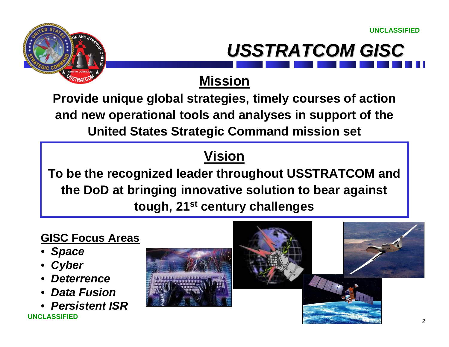



### **Mission**

**Provide unique global strategies, timely courses of action and new operational tools and analyses in support of the United States Strategic Command mission set**

## **Vision**

**To be the recognized leader throughout USSTRATCOM and the DoD at bringing innovative solution to bear against tough, 21st century challenges**

### **GISC Focus Areas**

- *Space*
- *Cyber*
- *Deterrence*
- *Data Fusion*
- *Persistent ISR*

**UNCLASSIFIED**



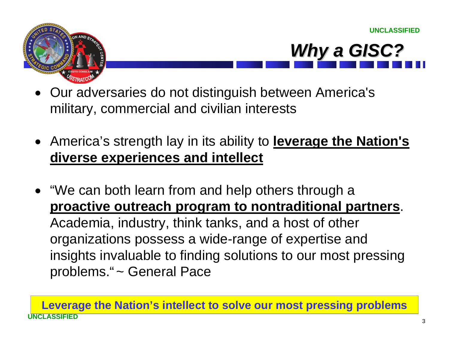



- Our adversaries do not distinguish between America's military, commercial and civilian interests
- America's strength lay in its ability to **leverage the Nation's diverse experiences and intellect**
- "We can both learn from and help others through a **proactive outreach program to nontraditional partners**. Academia, industry, think tanks, and a host of other organizations possess a wide-range of expertise and insights invaluable to finding solutions to our most pressing problems." ~ General Pace

**UNCLASSIFIEDLeverage the Nation's intellect to solve our most pressing problems**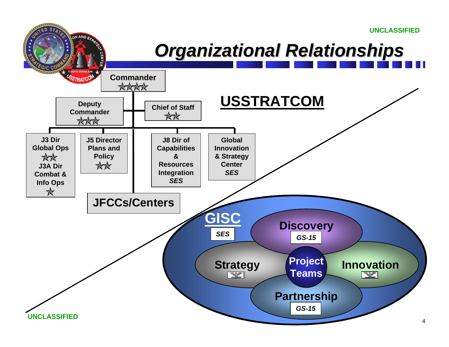

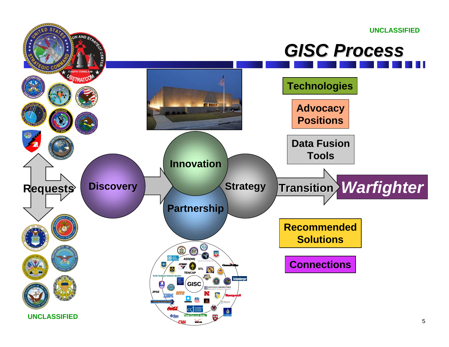# *GISC Process GISC Process*

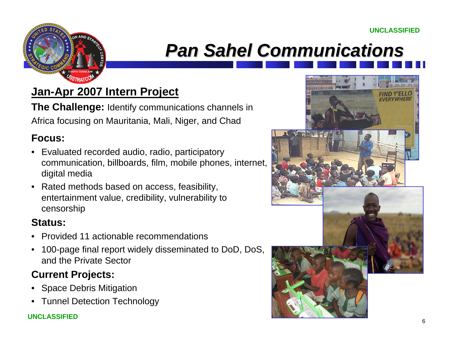

# *Pan Sahel Communications Pan Sahel Communications*

### **Jan-Apr 2007 Intern Project**

**The Challenge:** Identify communications channels in Africa focusing on Mauritania, Mali, Niger, and Chad

#### **Focus:**

- Evaluated recorded audio, radio, participatory communication, billboards, film, mobile phones, internet, digital media
- Rated methods based on access, feasibility, entertainment value, credibility, vulnerability to censorship

#### **Status:**

- Provided 11 actionable recommendations
- 100-page final report widely disseminated to DoD, DoS, and the Private Sector

### **Current Projects:**

- Space Debris Mitigation
- Tunnel Detection Technology

#### **UNCLASSIFIED**

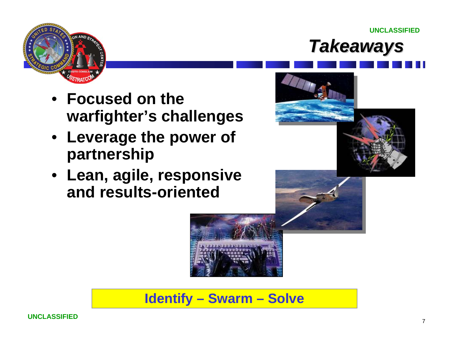



**UNCLASSIFIED**



- **Leverage the power of partnership**
- **Lean, agile, responsive and results-oriented**